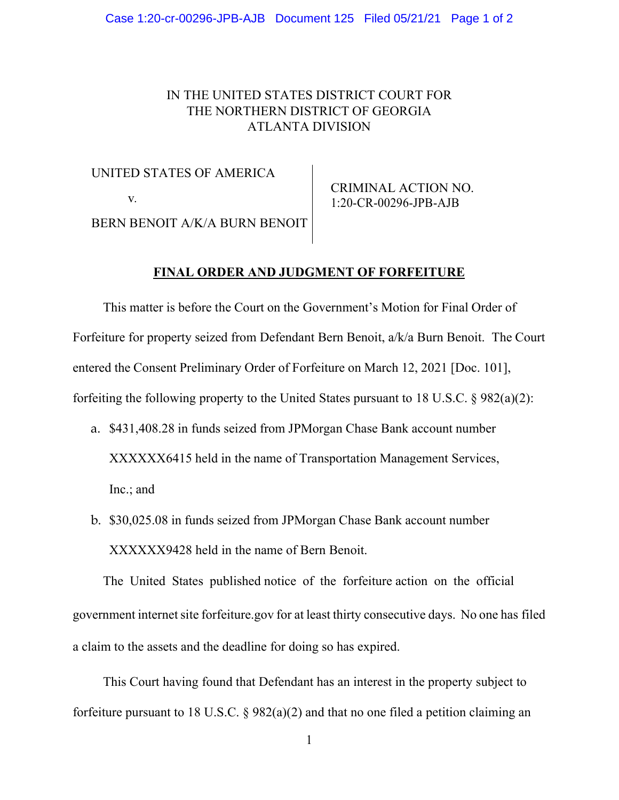## IN THE UNITED STATES DISTRICT COURT FOR THE NORTHERN DISTRICT OF GEORGIA ATLANTA DIVISION

UNITED STATES OF AMERICA v*.*  BERN BENOIT A/K/A BURN BENOIT

CRIMINAL ACTION NO. 1:20-CR-00296-JPB-AJB

## **FINAL ORDER AND JUDGMENT OF FORFEITURE**

This matter is before the Court on the Government's Motion for Final Order of Forfeiture for property seized from Defendant Bern Benoit, a/k/a Burn Benoit. The Court entered the Consent Preliminary Order of Forfeiture on March 12, 2021 [Doc. 101], forfeiting the following property to the United States pursuant to 18 U.S.C. § 982(a)(2):

- a. \$431,408.28 in funds seized from JPMorgan Chase Bank account number XXXXXX6415 held in the name of Transportation Management Services, Inc.; and
- b. \$30,025.08 in funds seized from JPMorgan Chase Bank account number XXXXXX9428 held in the name of Bern Benoit.

The United States published notice of the forfeiture action on the official government internet site forfeiture.gov for at least thirty consecutive days. No one has filed a claim to the assets and the deadline for doing so has expired.

This Court having found that Defendant has an interest in the property subject to forfeiture pursuant to 18 U.S.C. § 982(a)(2) and that no one filed a petition claiming an